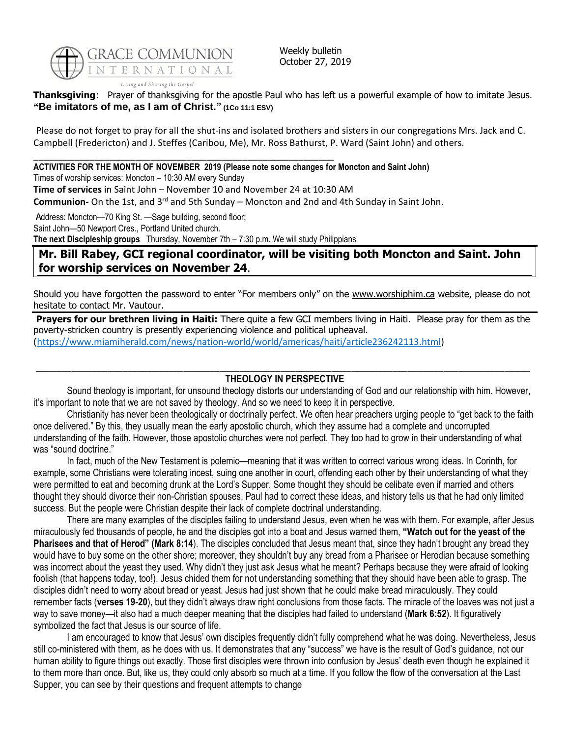

Weekly bulletin October 27, 2019

**Thanksgiving**: Prayer of thanksgiving for the apostle Paul who has left us a powerful example of how to imitate Jesus. **"Be imitators of me, as I am of Christ." (1Co 11:1 ESV)**

Please do not forget to pray for all the shut-ins and isolated brothers and sisters in our congregations Mrs. Jack and C. Campbell (Fredericton) and J. Steffes (Caribou, Me), Mr. Ross Bathurst, P. Ward (Saint John) and others.

#### \_\_\_\_\_\_\_\_\_\_\_\_\_\_\_\_\_\_\_\_\_\_\_\_\_\_\_\_\_\_\_\_\_\_\_\_\_\_\_\_\_\_\_\_\_\_\_\_\_\_\_\_\_\_\_\_\_\_\_ **ACTIVITIES FOR THE MONTH OF NOVEMBER 2019 (Please note some changes for Moncton and Saint John)**

Times of worship services: Moncton – 10:30 AM every Sunday

**Time of services** in Saint John – November 10 and November 24 at 10:30 AM

Communion- On the 1st, and 3<sup>rd</sup> and 5th Sunday – Moncton and 2nd and 4th Sunday in Saint John.

Address: Moncton-70 King St. - Sage building, second floor; Saint John—50 Newport Cres., Portland United church. **The next Discipleship groups** Thursday, November 7th – 7:30 p.m. We will study Philippians

# **Mr. Bill Rabey, GCI regional coordinator, will be visiting both Moncton and Saint. John for worship services on November 24**.

Should you have forgotten the password to enter "For members only" on the [www.worshiphim.ca](http://www.worshiphim.ca/) website, please do not hesitate to contact Mr. Vautour.

**Prayers for our brethren living in Haiti:** There quite a few GCI members living in Haiti. Please pray for them as the poverty-stricken country is presently experiencing violence and political upheaval. ([https://www.miamiherald.com/news/nation-world/world/americas/haiti/article236242113.html\)](https://www.miamiherald.com/news/nation-world/world/americas/haiti/article236242113.html)

#### \_\_\_\_\_\_\_\_\_\_\_\_\_\_\_\_\_\_\_\_\_\_\_\_\_\_\_\_\_\_\_\_\_\_\_\_\_\_\_\_\_\_\_\_\_\_\_\_\_\_\_\_\_\_\_\_\_\_\_\_\_\_\_\_\_\_\_\_\_\_\_\_\_\_\_\_\_\_\_\_\_\_\_\_\_\_\_\_\_\_\_\_\_\_\_\_\_ **THEOLOGY IN PERSPECTIVE**

Sound theology is important, for unsound theology distorts our understanding of God and our relationship with him. However, it's important to note that we are not saved by theology. And so we need to keep it in perspective.

Christianity has never been theologically or doctrinally perfect. We often hear preachers urging people to "get back to the faith once delivered." By this, they usually mean the early apostolic church, which they assume had a complete and uncorrupted understanding of the faith. However, those apostolic churches were not perfect. They too had to grow in their understanding of what was "sound doctrine."

In fact, much of the New Testament is polemic—meaning that it was written to correct various wrong ideas. In Corinth, for example, some Christians were tolerating incest, suing one another in court, offending each other by their understanding of what they were permitted to eat and becoming drunk at the Lord's Supper. Some thought they should be celibate even if married and others thought they should divorce their non-Christian spouses. Paul had to correct these ideas, and history tells us that he had only limited success. But the people were Christian despite their lack of complete doctrinal understanding.

There are many examples of the disciples failing to understand Jesus, even when he was with them. For example, after Jesus miraculously fed thousands of people, he and the disciples got into a boat and Jesus warned them, **"Watch out for the yeast of the Pharisees and that of Herod" (Mark 8:14**). The disciples concluded that Jesus meant that, since they hadn't brought any bread they would have to buy some on the other shore; moreover, they shouldn't buy any bread from a Pharisee or Herodian because something was incorrect about the yeast they used. Why didn't they just ask Jesus what he meant? Perhaps because they were afraid of looking foolish (that happens today, too!). Jesus chided them for not understanding something that they should have been able to grasp. The disciples didn't need to worry about bread or yeast. Jesus had just shown that he could make bread miraculously. They could remember facts (**verses 19-20**), but they didn't always draw right conclusions from those facts. The miracle of the loaves was not just a way to save money—it also had a much deeper meaning that the disciples had failed to understand (**Mark 6:52**). It figuratively symbolized the fact that Jesus is our source of life.

I am encouraged to know that Jesus' own disciples frequently didn't fully comprehend what he was doing. Nevertheless, Jesus still co-ministered with them, as he does with us. It demonstrates that any "success" we have is the result of God's guidance, not our human ability to figure things out exactly. Those first disciples were thrown into confusion by Jesus' death even though he explained it to them more than once. But, like us, they could only absorb so much at a time. If you follow the flow of the conversation at the Last Supper, you can see by their questions and frequent attempts to change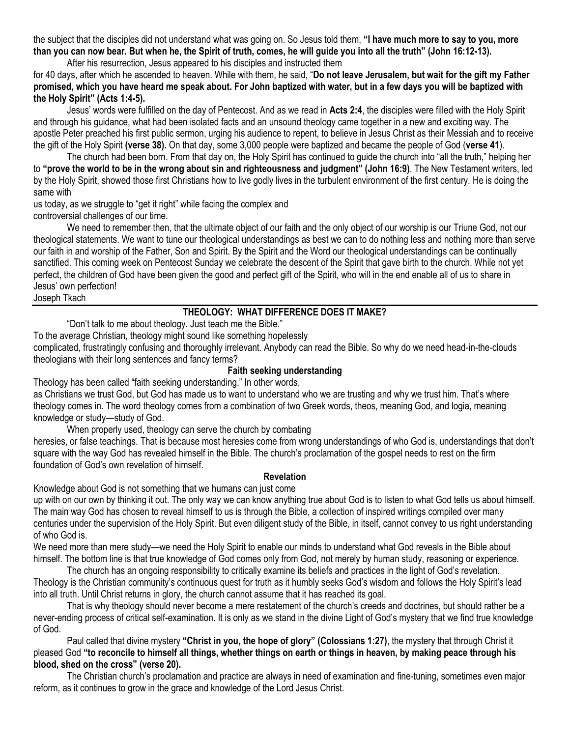the subject that the disciples did not understand what was going on. So Jesus told them, **"I have much more to say to you, more than you can now bear. But when he, the Spirit of truth, comes, he will guide you into all the truth" (John 16:12-13).**  After his resurrection, Jesus appeared to his disciples and instructed them

for 40 days, after which he ascended to heaven. While with them, he said, "**Do not leave Jerusalem, but wait for the gift my Father promised, which you have heard me speak about. For John baptized with water, but in a few days you will be baptized with the Holy Spirit" (Acts 1:4-5).**

Jesus' words were fulfilled on the day of Pentecost. And as we read in **Acts 2:4**, the disciples were filled with the Holy Spirit and through his guidance, what had been isolated facts and an unsound theology came together in a new and exciting way. The apostle Peter preached his first public sermon, urging his audience to repent, to believe in Jesus Christ as their Messiah and to receive the gift of the Holy Spirit **(verse 38).** On that day, some 3,000 people were baptized and became the people of God (**verse 41**).

The church had been born. From that day on, the Holy Spirit has continued to guide the church into "all the truth," helping her to **"prove the world to be in the wrong about sin and righteousness and judgment" (John 16:9)**. The New Testament writers, led by the Holy Spirit, showed those first Christians how to live godly lives in the turbulent environment of the first century. He is doing the same with

us today, as we struggle to "get it right" while facing the complex and

controversial challenges of our time.

We need to remember then, that the ultimate object of our faith and the only object of our worship is our Triune God, not our theological statements. We want to tune our theological understandings as best we can to do nothing less and nothing more than serve our faith in and worship of the Father, Son and Spirit. By the Spirit and the Word our theological understandings can be continually sanctified. This coming week on Pentecost Sunday we celebrate the descent of the Spirit that gave birth to the church. While not yet perfect, the children of God have been given the good and perfect gift of the Spirit, who will in the end enable all of us to share in Jesus' own perfection!

Joseph Tkach

### **THEOLOGY: WHAT DIFFERENCE DOES IT MAKE?**

"Don't talk to me about theology. Just teach me the Bible."

To the average Christian, theology might sound like something hopelessly

complicated, frustratingly confusing and thoroughly irrelevant. Anybody can read the Bible. So why do we need head-in-the-clouds theologians with their long sentences and fancy terms?

### **Faith seeking understanding**

Theology has been called "faith seeking understanding." In other words,

as Christians we trust God, but God has made us to want to understand who we are trusting and why we trust him. That's where theology comes in. The word theology comes from a combination of two Greek words, theos, meaning God, and logia, meaning knowledge or study—study of God.

When properly used, theology can serve the church by combating

heresies, or false teachings. That is because most heresies come from wrong understandings of who God is, understandings that don't square with the way God has revealed himself in the Bible. The church's proclamation of the gospel needs to rest on the firm foundation of God's own revelation of himself.

#### **Revelation**

Knowledge about God is not something that we humans can just come

up with on our own by thinking it out. The only way we can know anything true about God is to listen to what God tells us about himself. The main way God has chosen to reveal himself to us is through the Bible, a collection of inspired writings compiled over many centuries under the supervision of the Holy Spirit. But even diligent study of the Bible, in itself, cannot convey to us right understanding of who God is.

We need more than mere study—we need the Holy Spirit to enable our minds to understand what God reveals in the Bible about himself. The bottom line is that true knowledge of God comes only from God, not merely by human study, reasoning or experience.

The church has an ongoing responsibility to critically examine its beliefs and practices in the light of God's revelation. Theology is the Christian community's continuous quest for truth as it humbly seeks God's wisdom and follows the Holy Spirit's lead into all truth. Until Christ returns in glory, the church cannot assume that it has reached its goal.

That is why theology should never become a mere restatement of the church's creeds and doctrines, but should rather be a never-ending process of critical self-examination. It is only as we stand in the divine Light of God's mystery that we find true knowledge of God.

Paul called that divine mystery **"Christ in you, the hope of glory" (Colossians 1:27)**, the mystery that through Christ it pleased God **"to reconcile to himself all things, whether things on earth or things in heaven, by making peace through his blood, shed on the cross" (verse 20).** 

The Christian church's proclamation and practice are always in need of examination and fine-tuning, sometimes even major reform, as it continues to grow in the grace and knowledge of the Lord Jesus Christ.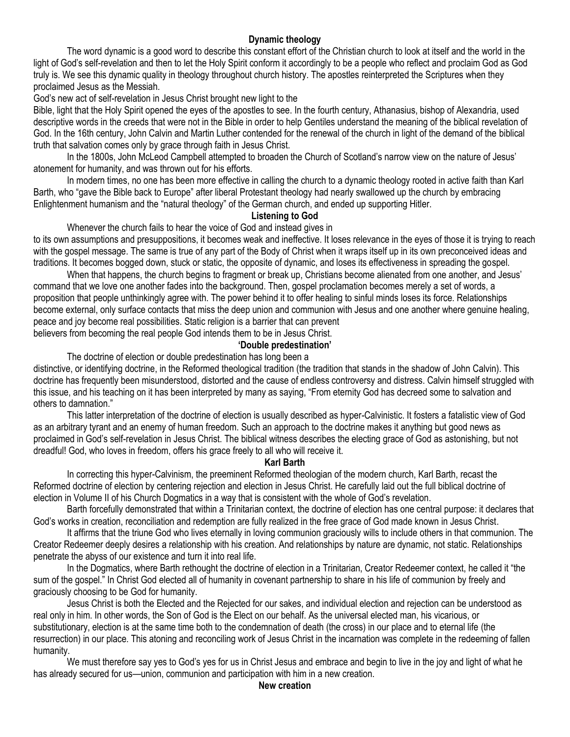### **Dynamic theology**

The word dynamic is a good word to describe this constant effort of the Christian church to look at itself and the world in the light of God's self-revelation and then to let the Holy Spirit conform it accordingly to be a people who reflect and proclaim God as God truly is. We see this dynamic quality in theology throughout church history. The apostles reinterpreted the Scriptures when they proclaimed Jesus as the Messiah.

God's new act of self-revelation in Jesus Christ brought new light to the

Bible, light that the Holy Spirit opened the eyes of the apostles to see. In the fourth century, Athanasius, bishop of Alexandria, used descriptive words in the creeds that were not in the Bible in order to help Gentiles understand the meaning of the biblical revelation of God. In the 16th century, John Calvin and Martin Luther contended for the renewal of the church in light of the demand of the biblical truth that salvation comes only by grace through faith in Jesus Christ.

In the 1800s, John McLeod Campbell attempted to broaden the Church of Scotland's narrow view on the nature of Jesus' atonement for humanity, and was thrown out for his efforts.

In modern times, no one has been more effective in calling the church to a dynamic theology rooted in active faith than Karl Barth, who "gave the Bible back to Europe" after liberal Protestant theology had nearly swallowed up the church by embracing Enlightenment humanism and the "natural theology" of the German church, and ended up supporting Hitler.

### **Listening to God**

Whenever the church fails to hear the voice of God and instead gives in

to its own assumptions and presuppositions, it becomes weak and ineffective. It loses relevance in the eyes of those it is trying to reach with the gospel message. The same is true of any part of the Body of Christ when it wraps itself up in its own preconceived ideas and traditions. It becomes bogged down, stuck or static, the opposite of dynamic, and loses its effectiveness in spreading the gospel.

When that happens, the church begins to fragment or break up, Christians become alienated from one another, and Jesus' command that we love one another fades into the background. Then, gospel proclamation becomes merely a set of words, a proposition that people unthinkingly agree with. The power behind it to offer healing to sinful minds loses its force. Relationships become external, only surface contacts that miss the deep union and communion with Jesus and one another where genuine healing, peace and joy become real possibilities. Static religion is a barrier that can prevent

believers from becoming the real people God intends them to be in Jesus Christ.

### **'Double predestination'**

The doctrine of election or double predestination has long been a

distinctive, or identifying doctrine, in the Reformed theological tradition (the tradition that stands in the shadow of John Calvin). This doctrine has frequently been misunderstood, distorted and the cause of endless controversy and distress. Calvin himself struggled with this issue, and his teaching on it has been interpreted by many as saying, "From eternity God has decreed some to salvation and others to damnation."

This latter interpretation of the doctrine of election is usually described as hyper-Calvinistic. It fosters a fatalistic view of God as an arbitrary tyrant and an enemy of human freedom. Such an approach to the doctrine makes it anything but good news as proclaimed in God's self-revelation in Jesus Christ. The biblical witness describes the electing grace of God as astonishing, but not dreadful! God, who loves in freedom, offers his grace freely to all who will receive it.

#### **Karl Barth**

In correcting this hyper-Calvinism, the preeminent Reformed theologian of the modern church, Karl Barth, recast the Reformed doctrine of election by centering rejection and election in Jesus Christ. He carefully laid out the full biblical doctrine of election in Volume II of his Church Dogmatics in a way that is consistent with the whole of God's revelation.

Barth forcefully demonstrated that within a Trinitarian context, the doctrine of election has one central purpose: it declares that God's works in creation, reconciliation and redemption are fully realized in the free grace of God made known in Jesus Christ.

It affirms that the triune God who lives eternally in loving communion graciously wills to include others in that communion. The Creator Redeemer deeply desires a relationship with his creation. And relationships by nature are dynamic, not static. Relationships penetrate the abyss of our existence and turn it into real life.

In the Dogmatics, where Barth rethought the doctrine of election in a Trinitarian, Creator Redeemer context, he called it "the sum of the gospel." In Christ God elected all of humanity in covenant partnership to share in his life of communion by freely and graciously choosing to be God for humanity.

Jesus Christ is both the Elected and the Rejected for our sakes, and individual election and rejection can be understood as real only in him. In other words, the Son of God is the Elect on our behalf. As the universal elected man, his vicarious, or substitutionary, election is at the same time both to the condemnation of death (the cross) in our place and to eternal life (the resurrection) in our place. This atoning and reconciling work of Jesus Christ in the incarnation was complete in the redeeming of fallen humanity.

We must therefore say yes to God's yes for us in Christ Jesus and embrace and begin to live in the joy and light of what he has already secured for us—union, communion and participation with him in a new creation.

#### **New creation**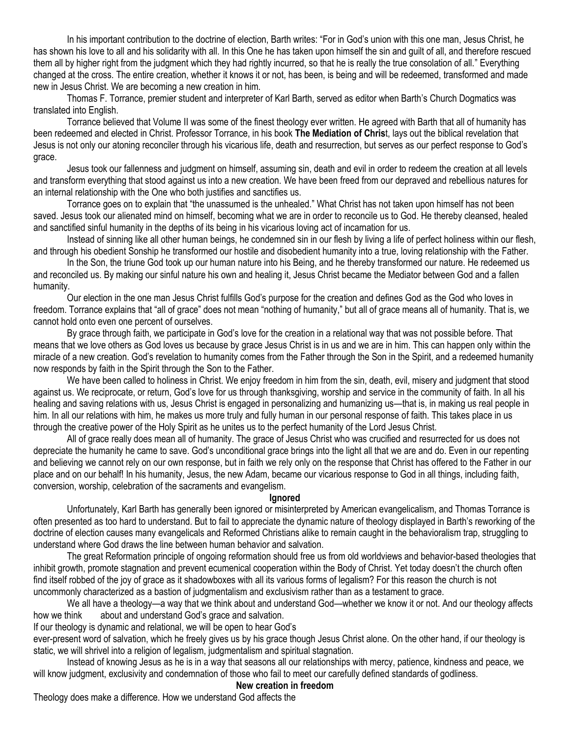In his important contribution to the doctrine of election, Barth writes: "For in God's union with this one man, Jesus Christ, he has shown his love to all and his solidarity with all. In this One he has taken upon himself the sin and guilt of all, and therefore rescued them all by higher right from the judgment which they had rightly incurred, so that he is really the true consolation of all." Everything changed at the cross. The entire creation, whether it knows it or not, has been, is being and will be redeemed, transformed and made new in Jesus Christ. We are becoming a new creation in him.

Thomas F. Torrance, premier student and interpreter of Karl Barth, served as editor when Barth's Church Dogmatics was translated into English.

Torrance believed that Volume II was some of the finest theology ever written. He agreed with Barth that all of humanity has been redeemed and elected in Christ. Professor Torrance, in his book **The Mediation of Chris**t, lays out the biblical revelation that Jesus is not only our atoning reconciler through his vicarious life, death and resurrection, but serves as our perfect response to God's grace.

Jesus took our fallenness and judgment on himself, assuming sin, death and evil in order to redeem the creation at all levels and transform everything that stood against us into a new creation. We have been freed from our depraved and rebellious natures for an internal relationship with the One who both justifies and sanctifies us.

Torrance goes on to explain that "the unassumed is the unhealed." What Christ has not taken upon himself has not been saved. Jesus took our alienated mind on himself, becoming what we are in order to reconcile us to God. He thereby cleansed, healed and sanctified sinful humanity in the depths of its being in his vicarious loving act of incarnation for us.

Instead of sinning like all other human beings, he condemned sin in our flesh by living a life of perfect holiness within our flesh, and through his obedient Sonship he transformed our hostile and disobedient humanity into a true, loving relationship with the Father.

In the Son, the triune God took up our human nature into his Being, and he thereby transformed our nature. He redeemed us and reconciled us. By making our sinful nature his own and healing it, Jesus Christ became the Mediator between God and a fallen humanity.

Our election in the one man Jesus Christ fulfills God's purpose for the creation and defines God as the God who loves in freedom. Torrance explains that "all of grace" does not mean "nothing of humanity," but all of grace means all of humanity. That is, we cannot hold onto even one percent of ourselves.

By grace through faith, we participate in God's love for the creation in a relational way that was not possible before. That means that we love others as God loves us because by grace Jesus Christ is in us and we are in him. This can happen only within the miracle of a new creation. God's revelation to humanity comes from the Father through the Son in the Spirit, and a redeemed humanity now responds by faith in the Spirit through the Son to the Father.

We have been called to holiness in Christ. We enjoy freedom in him from the sin, death, evil, misery and judgment that stood against us. We reciprocate, or return, God's love for us through thanksgiving, worship and service in the community of faith. In all his healing and saving relations with us, Jesus Christ is engaged in personalizing and humanizing us—that is, in making us real people in him. In all our relations with him, he makes us more truly and fully human in our personal response of faith. This takes place in us through the creative power of the Holy Spirit as he unites us to the perfect humanity of the Lord Jesus Christ.

All of grace really does mean all of humanity. The grace of Jesus Christ who was crucified and resurrected for us does not depreciate the humanity he came to save. God's unconditional grace brings into the light all that we are and do. Even in our repenting and believing we cannot rely on our own response, but in faith we rely only on the response that Christ has offered to the Father in our place and on our behalf! In his humanity, Jesus, the new Adam, became our vicarious response to God in all things, including faith, conversion, worship, celebration of the sacraments and evangelism.

#### **Ignored**

Unfortunately, Karl Barth has generally been ignored or misinterpreted by American evangelicalism, and Thomas Torrance is often presented as too hard to understand. But to fail to appreciate the dynamic nature of theology displayed in Barth's reworking of the doctrine of election causes many evangelicals and Reformed Christians alike to remain caught in the behavioralism trap, struggling to understand where God draws the line between human behavior and salvation.

The great Reformation principle of ongoing reformation should free us from old worldviews and behavior-based theologies that inhibit growth, promote stagnation and prevent ecumenical cooperation within the Body of Christ. Yet today doesn't the church often find itself robbed of the joy of grace as it shadowboxes with all its various forms of legalism? For this reason the church is not uncommonly characterized as a bastion of judgmentalism and exclusivism rather than as a testament to grace.

We all have a theology—a way that we think about and understand God—whether we know it or not. And our theology affects how we think about and understand God's grace and salvation.

If our theology is dynamic and relational, we will be open to hear God's

ever-present word of salvation, which he freely gives us by his grace though Jesus Christ alone. On the other hand, if our theology is static, we will shrivel into a religion of legalism, judgmentalism and spiritual stagnation.

Instead of knowing Jesus as he is in a way that seasons all our relationships with mercy, patience, kindness and peace, we will know judgment, exclusivity and condemnation of those who fail to meet our carefully defined standards of godliness.

#### **New creation in freedom**

Theology does make a difference. How we understand God affects the